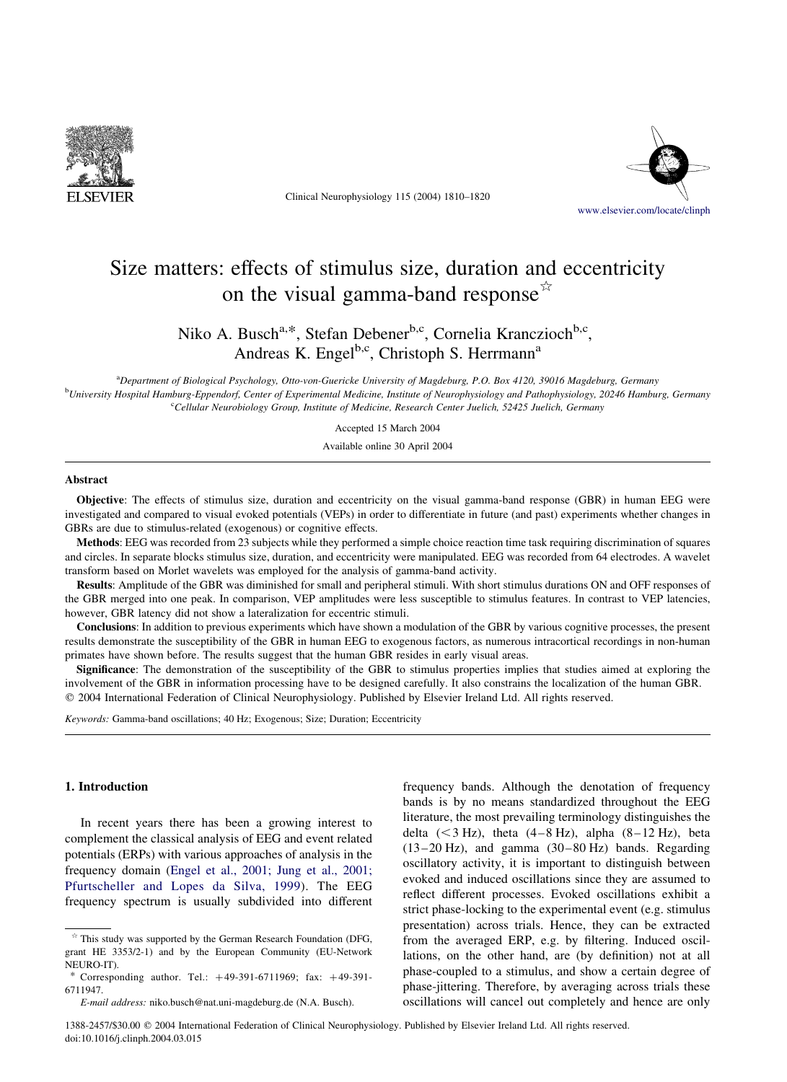

Clinical Neurophysiology 115 (2004) 1810–1820



# Size matters: effects of stimulus size, duration and eccentricity on the visual gamma-band response<sup> $\dot{\alpha}$ </sup>

Niko A. Busch<sup>a,\*</sup>, Stefan Debener<sup>b,c</sup>, Cornelia Kranczioch<sup>b,c</sup>, Andreas K. Engel<sup>b,c</sup>, Christoph S. Herrmann<sup>a</sup>

a Department of Biological Psychology, Otto-von-Guericke University of Magdeburg, P.O. Box 4120, 39016 Magdeburg, Germany b University Hospital Hamburg-Eppendorf, Center of Experimental Medicine, Institute of Neurophysiology and Pathophysiology, 20246 Hamburg, Germany <sup>c</sup>Cellular Neurobiology Group, Institute of Medicine, Research Center Juelich, 52425 Juelich, Germany

Accepted 15 March 2004

Available online 30 April 2004

#### Abstract

Objective: The effects of stimulus size, duration and eccentricity on the visual gamma-band response (GBR) in human EEG were investigated and compared to visual evoked potentials (VEPs) in order to differentiate in future (and past) experiments whether changes in GBRs are due to stimulus-related (exogenous) or cognitive effects.

Methods: EEG was recorded from 23 subjects while they performed a simple choice reaction time task requiring discrimination of squares and circles. In separate blocks stimulus size, duration, and eccentricity were manipulated. EEG was recorded from 64 electrodes. A wavelet transform based on Morlet wavelets was employed for the analysis of gamma-band activity.

Results: Amplitude of the GBR was diminished for small and peripheral stimuli. With short stimulus durations ON and OFF responses of the GBR merged into one peak. In comparison, VEP amplitudes were less susceptible to stimulus features. In contrast to VEP latencies, however, GBR latency did not show a lateralization for eccentric stimuli.

Conclusions: In addition to previous experiments which have shown a modulation of the GBR by various cognitive processes, the present results demonstrate the susceptibility of the GBR in human EEG to exogenous factors, as numerous intracortical recordings in non-human primates have shown before. The results suggest that the human GBR resides in early visual areas.

Significance: The demonstration of the susceptibility of the GBR to stimulus properties implies that studies aimed at exploring the involvement of the GBR in information processing have to be designed carefully. It also constrains the localization of the human GBR. q 2004 International Federation of Clinical Neurophysiology. Published by Elsevier Ireland Ltd. All rights reserved.

Keywords: Gamma-band oscillations; 40 Hz; Exogenous; Size; Duration; Eccentricity

# 1. Introduction

In recent years there has been a growing interest to complement the classical analysis of EEG and event related potentials (ERPs) with various approaches of analysis in the frequency domain ([Engel et al., 2001; Jung et al., 2001;](#page-10-0) [Pfurtscheller and Lopes da Silva, 1999](#page-10-0)). The EEG frequency spectrum is usually subdivided into different

frequency bands. Although the denotation of frequency bands is by no means standardized throughout the EEG literature, the most prevailing terminology distinguishes the delta  $(<3 Hz$ ), theta  $(4-8 Hz)$ , alpha  $(8-12 Hz)$ , beta (13–20 Hz), and gamma (30–80 Hz) bands. Regarding oscillatory activity, it is important to distinguish between evoked and induced oscillations since they are assumed to reflect different processes. Evoked oscillations exhibit a strict phase-locking to the experimental event (e.g. stimulus presentation) across trials. Hence, they can be extracted from the averaged ERP, e.g. by filtering. Induced oscillations, on the other hand, are (by definition) not at all phase-coupled to a stimulus, and show a certain degree of phase-jittering. Therefore, by averaging across trials these oscillations will cancel out completely and hence are only

1388-2457/\$30.00 q 2004 International Federation of Clinical Neurophysiology. Published by Elsevier Ireland Ltd. All rights reserved. doi:10.1016/j.clinph.2004.03.015

 $*$  This study was supported by the German Research Foundation (DFG, grant HE 3353/2-1) and by the European Community (EU-Network NEURO-IT).

Corresponding author. Tel.:  $+49-391-6711969$ ; fax:  $+49-391-$ 6711947.

E-mail address: niko.busch@nat.uni-magdeburg.de (N.A. Busch).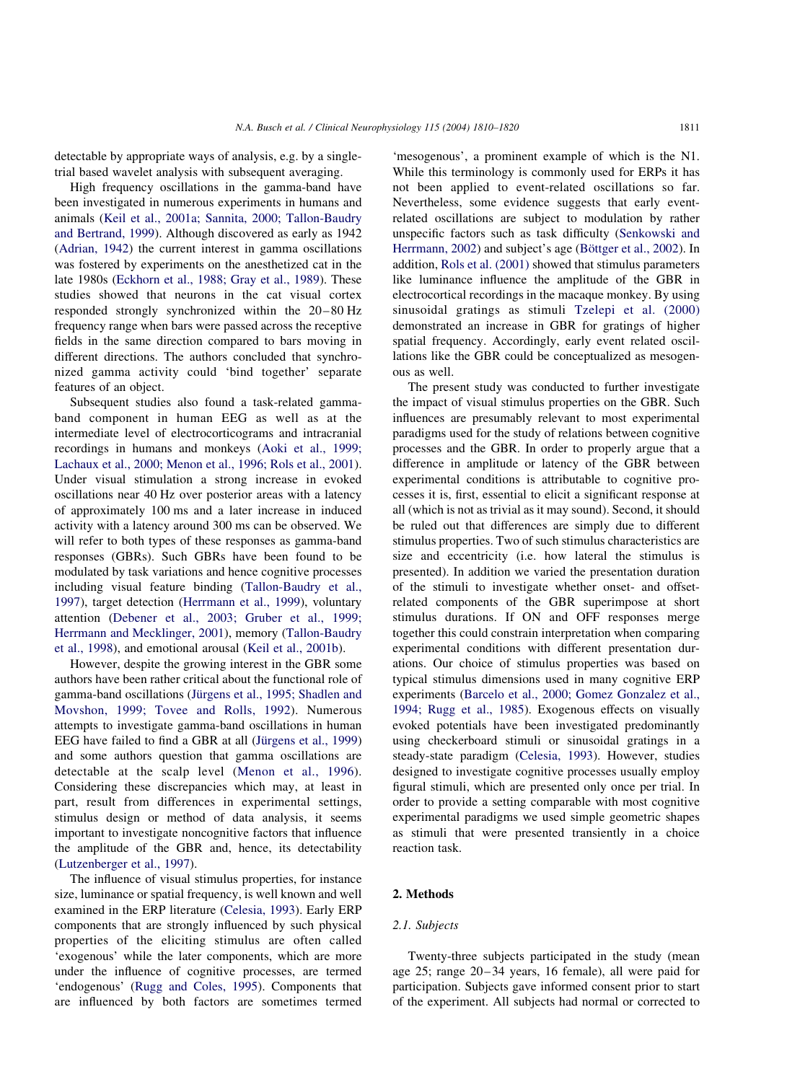detectable by appropriate ways of analysis, e.g. by a singletrial based wavelet analysis with subsequent averaging.

High frequency oscillations in the gamma-band have been investigated in numerous experiments in humans and animals ([Keil et al., 2001a; Sannita, 2000; Tallon-Baudry](#page-10-0) [and Bertrand, 1999](#page-10-0)). Although discovered as early as 1942 ([Adrian, 1942](#page-9-0)) the current interest in gamma oscillations was fostered by experiments on the anesthetized cat in the late 1980s ([Eckhorn et al., 1988; Gray et al., 1989\)](#page-10-0). These studies showed that neurons in the cat visual cortex responded strongly synchronized within the 20–80 Hz frequency range when bars were passed across the receptive fields in the same direction compared to bars moving in different directions. The authors concluded that synchronized gamma activity could 'bind together' separate features of an object.

Subsequent studies also found a task-related gammaband component in human EEG as well as at the intermediate level of electrocorticograms and intracranial recordings in humans and monkeys ([Aoki et al., 1999;](#page-9-0) [Lachaux et al., 2000; Menon et al., 1996; Rols et al., 2001\)](#page-9-0). Under visual stimulation a strong increase in evoked oscillations near 40 Hz over posterior areas with a latency of approximately 100 ms and a later increase in induced activity with a latency around 300 ms can be observed. We will refer to both types of these responses as gamma-band responses (GBRs). Such GBRs have been found to be modulated by task variations and hence cognitive processes including visual feature binding ([Tallon-Baudry et al.,](#page-10-0) [1997](#page-10-0)), target detection [\(Herrmann et al., 1999\)](#page-10-0), voluntary attention ([Debener et al., 2003; Gruber et al., 1999;](#page-9-0) [Herrmann and Mecklinger, 2001\)](#page-9-0), memory ([Tallon-Baudry](#page-10-0) [et al., 1998\)](#page-10-0), and emotional arousal ([Keil et al., 2001b](#page-10-0)).

However, despite the growing interest in the GBR some authors have been rather critical about the functional role of gamma-band oscillations (Jürgens et al., 1995; Shadlen and [Movshon, 1999; Tovee and Rolls, 1992](#page-10-0)). Numerous attempts to investigate gamma-band oscillations in human EEG have failed to find a GBR at all (Jürgens et al., 1999) and some authors question that gamma oscillations are detectable at the scalp level ([Menon et al., 1996\)](#page-10-0). Considering these discrepancies which may, at least in part, result from differences in experimental settings, stimulus design or method of data analysis, it seems important to investigate noncognitive factors that influence the amplitude of the GBR and, hence, its detectability ([Lutzenberger et al., 1997\)](#page-10-0).

The influence of visual stimulus properties, for instance size, luminance or spatial frequency, is well known and well examined in the ERP literature ([Celesia, 1993\)](#page-9-0). Early ERP components that are strongly influenced by such physical properties of the eliciting stimulus are often called 'exogenous' while the later components, which are more under the influence of cognitive processes, are termed 'endogenous' ([Rugg and Coles, 1995\)](#page-10-0). Components that are influenced by both factors are sometimes termed

'mesogenous', a prominent example of which is the N1. While this terminology is commonly used for ERPs it has not been applied to event-related oscillations so far. Nevertheless, some evidence suggests that early eventrelated oscillations are subject to modulation by rather unspecific factors such as task difficulty ([Senkowski and](#page-10-0) [Herrmann, 2002\)](#page-10-0) and subject's age (Böttger et al., 2002). In addition, [Rols et al. \(2001\)](#page-10-0) showed that stimulus parameters like luminance influence the amplitude of the GBR in electrocortical recordings in the macaque monkey. By using sinusoidal gratings as stimuli [Tzelepi et al. \(2000\)](#page-10-0) demonstrated an increase in GBR for gratings of higher spatial frequency. Accordingly, early event related oscillations like the GBR could be conceptualized as mesogenous as well.

The present study was conducted to further investigate the impact of visual stimulus properties on the GBR. Such influences are presumably relevant to most experimental paradigms used for the study of relations between cognitive processes and the GBR. In order to properly argue that a difference in amplitude or latency of the GBR between experimental conditions is attributable to cognitive processes it is, first, essential to elicit a significant response at all (which is not as trivial as it may sound). Second, it should be ruled out that differences are simply due to different stimulus properties. Two of such stimulus characteristics are size and eccentricity (i.e. how lateral the stimulus is presented). In addition we varied the presentation duration of the stimuli to investigate whether onset- and offsetrelated components of the GBR superimpose at short stimulus durations. If ON and OFF responses merge together this could constrain interpretation when comparing experimental conditions with different presentation durations. Our choice of stimulus properties was based on typical stimulus dimensions used in many cognitive ERP experiments [\(Barcelo et al., 2000; Gomez Gonzalez et al.,](#page-9-0) [1994; Rugg et al., 1985\)](#page-9-0). Exogenous effects on visually evoked potentials have been investigated predominantly using checkerboard stimuli or sinusoidal gratings in a steady-state paradigm [\(Celesia, 1993\)](#page-9-0). However, studies designed to investigate cognitive processes usually employ figural stimuli, which are presented only once per trial. In order to provide a setting comparable with most cognitive experimental paradigms we used simple geometric shapes as stimuli that were presented transiently in a choice reaction task.

# 2. Methods

#### 2.1. Subjects

Twenty-three subjects participated in the study (mean age 25; range 20–34 years, 16 female), all were paid for participation. Subjects gave informed consent prior to start of the experiment. All subjects had normal or corrected to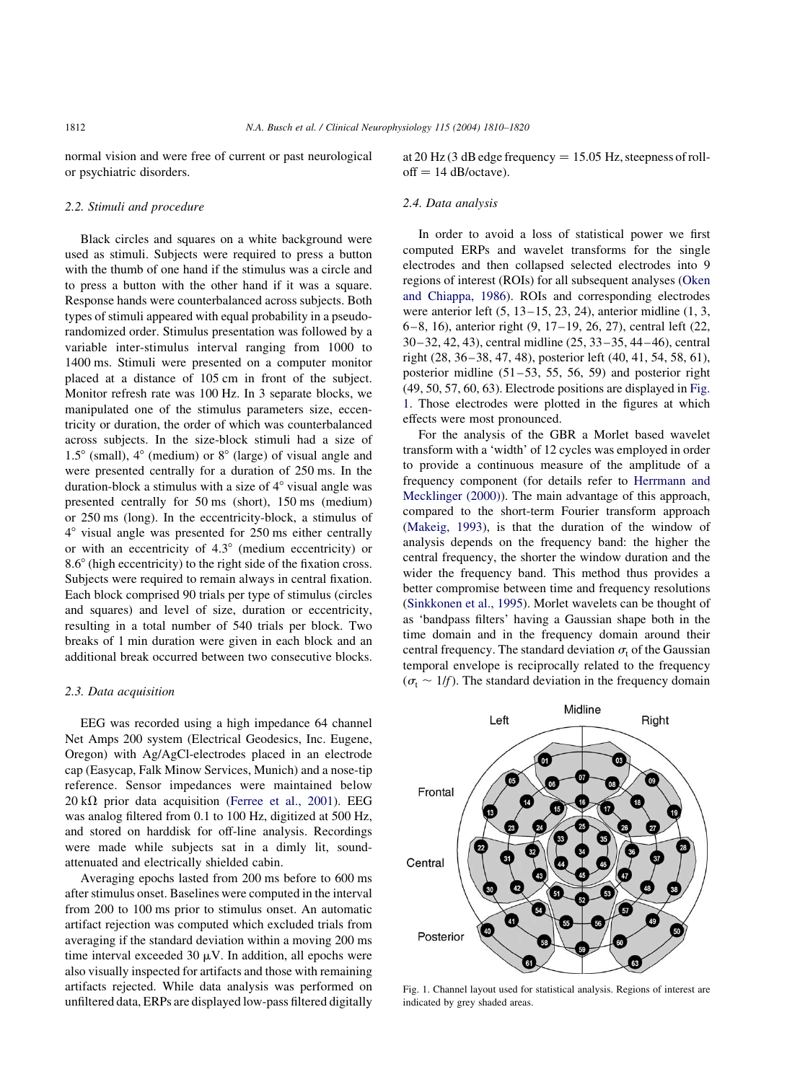normal vision and were free of current or past neurological or psychiatric disorders.

# 2.2. Stimuli and procedure

Black circles and squares on a white background were used as stimuli. Subjects were required to press a button with the thumb of one hand if the stimulus was a circle and to press a button with the other hand if it was a square. Response hands were counterbalanced across subjects. Both types of stimuli appeared with equal probability in a pseudorandomized order. Stimulus presentation was followed by a variable inter-stimulus interval ranging from 1000 to 1400 ms. Stimuli were presented on a computer monitor placed at a distance of 105 cm in front of the subject. Monitor refresh rate was 100 Hz. In 3 separate blocks, we manipulated one of the stimulus parameters size, eccentricity or duration, the order of which was counterbalanced across subjects. In the size-block stimuli had a size of  $1.5^{\circ}$  (small),  $4^{\circ}$  (medium) or  $8^{\circ}$  (large) of visual angle and were presented centrally for a duration of 250 ms. In the duration-block a stimulus with a size of  $4^\circ$  visual angle was presented centrally for 50 ms (short), 150 ms (medium) or 250 ms (long). In the eccentricity-block, a stimulus of  $4^\circ$  visual angle was presented for 250 ms either centrally or with an eccentricity of  $4.3^{\circ}$  (medium eccentricity) or  $8.6^\circ$  (high eccentricity) to the right side of the fixation cross. Subjects were required to remain always in central fixation. Each block comprised 90 trials per type of stimulus (circles and squares) and level of size, duration or eccentricity, resulting in a total number of 540 trials per block. Two breaks of 1 min duration were given in each block and an additional break occurred between two consecutive blocks.

#### 2.3. Data acquisition

EEG was recorded using a high impedance 64 channel Net Amps 200 system (Electrical Geodesics, Inc. Eugene, Oregon) with Ag/AgCl-electrodes placed in an electrode cap (Easycap, Falk Minow Services, Munich) and a nose-tip reference. Sensor impedances were maintained below  $20 \text{ k}\Omega$  prior data acquisition [\(Ferree et al., 2001](#page-10-0)). EEG was analog filtered from 0.1 to 100 Hz, digitized at 500 Hz, and stored on harddisk for off-line analysis. Recordings were made while subjects sat in a dimly lit, soundattenuated and electrically shielded cabin.

Averaging epochs lasted from 200 ms before to 600 ms after stimulus onset. Baselines were computed in the interval from 200 to 100 ms prior to stimulus onset. An automatic artifact rejection was computed which excluded trials from averaging if the standard deviation within a moving 200 ms time interval exceeded 30  $\mu$ V. In addition, all epochs were also visually inspected for artifacts and those with remaining artifacts rejected. While data analysis was performed on unfiltered data, ERPs are displayed low-pass filtered digitally at 20 Hz (3 dB edge frequency  $= 15.05$  Hz, steepness of roll $off = 14$  dB/octave).

# 2.4. Data analysis

In order to avoid a loss of statistical power we first computed ERPs and wavelet transforms for the single electrodes and then collapsed selected electrodes into 9 regions of interest (ROIs) for all subsequent analyses [\(Oken](#page-10-0) [and Chiappa, 1986\)](#page-10-0). ROIs and corresponding electrodes were anterior left  $(5, 13-15, 23, 24)$ , anterior midline  $(1, 3, 4)$ 6–8, 16), anterior right (9, 17–19, 26, 27), central left (22, 30–32, 42, 43), central midline (25, 33–35, 44–46), central right (28, 36–38, 47, 48), posterior left (40, 41, 54, 58, 61), posterior midline  $(51–53, 55, 56, 59)$  and posterior right (49, 50, 57, 60, 63). Electrode positions are displayed in Fig. 1. Those electrodes were plotted in the figures at which effects were most pronounced.

For the analysis of the GBR a Morlet based wavelet transform with a 'width' of 12 cycles was employed in order to provide a continuous measure of the amplitude of a frequency component (for details refer to [Herrmann and](#page-10-0) [Mecklinger \(2000\)\)](#page-10-0). The main advantage of this approach, compared to the short-term Fourier transform approach ([Makeig, 1993](#page-10-0)), is that the duration of the window of analysis depends on the frequency band: the higher the central frequency, the shorter the window duration and the wider the frequency band. This method thus provides a better compromise between time and frequency resolutions ([Sinkkonen et al., 1995\)](#page-10-0). Morlet wavelets can be thought of as 'bandpass filters' having a Gaussian shape both in the time domain and in the frequency domain around their central frequency. The standard deviation  $\sigma_t$  of the Gaussian temporal envelope is reciprocally related to the frequency  $(\sigma_t \sim 1/f)$ . The standard deviation in the frequency domain



Fig. 1. Channel layout used for statistical analysis. Regions of interest are indicated by grey shaded areas.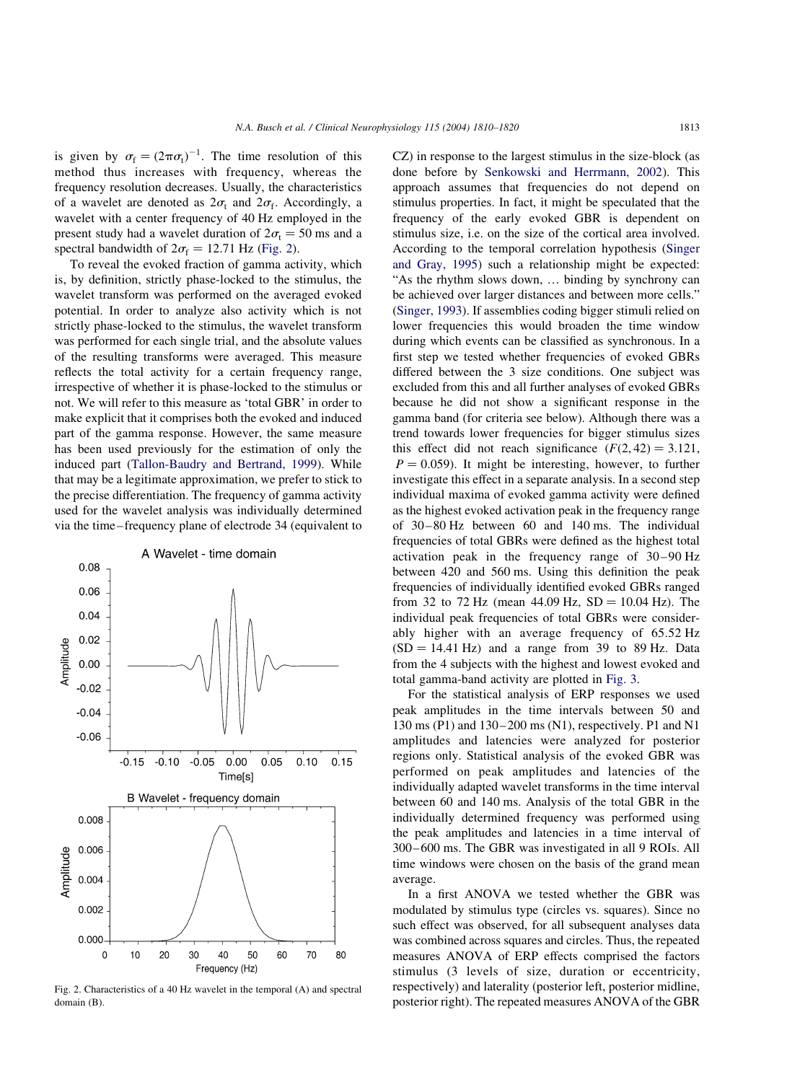is given by  $\sigma_f = (2\pi\sigma_t)^{-1}$ . The time resolution of this method thus increases with frequency, whereas the frequency resolution decreases. Usually, the characteristics of a wavelet are denoted as  $2\sigma_t$  and  $2\sigma_f$ . Accordingly, a wavelet with a center frequency of 40 Hz employed in the present study had a wavelet duration of  $2\sigma_t = 50$  ms and a spectral bandwidth of  $2\sigma_f = 12.71$  Hz (Fig. 2).

To reveal the evoked fraction of gamma activity, which is, by definition, strictly phase-locked to the stimulus, the wavelet transform was performed on the averaged evoked potential. In order to analyze also activity which is not strictly phase-locked to the stimulus, the wavelet transform was performed for each single trial, and the absolute values of the resulting transforms were averaged. This measure reflects the total activity for a certain frequency range, irrespective of whether it is phase-locked to the stimulus or not. We will refer to this measure as 'total GBR' in order to make explicit that it comprises both the evoked and induced part of the gamma response. However, the same measure has been used previously for the estimation of only the induced part [\(Tallon-Baudry and Bertrand, 1999\)](#page-10-0). While that may be a legitimate approximation, we prefer to stick to the precise differentiation. The frequency of gamma activity used for the wavelet analysis was individually determined via the time–frequency plane of electrode 34 (equivalent to



Fig. 2. Characteristics of a 40 Hz wavelet in the temporal (A) and spectral domain (B).

CZ) in response to the largest stimulus in the size-block (as done before by [Senkowski and Herrmann, 2002](#page-10-0)). This approach assumes that frequencies do not depend on stimulus properties. In fact, it might be speculated that the frequency of the early evoked GBR is dependent on stimulus size, i.e. on the size of the cortical area involved. According to the temporal correlation hypothesis ([Singer](#page-10-0) [and Gray, 1995\)](#page-10-0) such a relationship might be expected: "As the rhythm slows down, … binding by synchrony can be achieved over larger distances and between more cells." ([Singer, 1993\)](#page-10-0). If assemblies coding bigger stimuli relied on lower frequencies this would broaden the time window during which events can be classified as synchronous. In a first step we tested whether frequencies of evoked GBRs differed between the 3 size conditions. One subject was excluded from this and all further analyses of evoked GBRs because he did not show a significant response in the gamma band (for criteria see below). Although there was a trend towards lower frequencies for bigger stimulus sizes this effect did not reach significance  $(F(2, 42) = 3.121$ ,  $P = 0.059$ . It might be interesting, however, to further investigate this effect in a separate analysis. In a second step individual maxima of evoked gamma activity were defined as the highest evoked activation peak in the frequency range of 30–80 Hz between 60 and 140 ms. The individual frequencies of total GBRs were defined as the highest total activation peak in the frequency range of 30–90 Hz between 420 and 560 ms. Using this definition the peak frequencies of individually identified evoked GBRs ranged from 32 to 72 Hz (mean 44.09 Hz,  $SD = 10.04$  Hz). The individual peak frequencies of total GBRs were considerably higher with an average frequency of 65.52 Hz  $(SD = 14.41 \text{ Hz})$  and a range from 39 to 89 Hz. Data from the 4 subjects with the highest and lowest evoked and total gamma-band activity are plotted in [Fig. 3](#page-4-0).

For the statistical analysis of ERP responses we used peak amplitudes in the time intervals between 50 and 130 ms (P1) and 130–200 ms (N1), respectively. P1 and N1 amplitudes and latencies were analyzed for posterior regions only. Statistical analysis of the evoked GBR was performed on peak amplitudes and latencies of the individually adapted wavelet transforms in the time interval between 60 and 140 ms. Analysis of the total GBR in the individually determined frequency was performed using the peak amplitudes and latencies in a time interval of 300–600 ms. The GBR was investigated in all 9 ROIs. All time windows were chosen on the basis of the grand mean average.

In a first ANOVA we tested whether the GBR was modulated by stimulus type (circles vs. squares). Since no such effect was observed, for all subsequent analyses data was combined across squares and circles. Thus, the repeated measures ANOVA of ERP effects comprised the factors stimulus (3 levels of size, duration or eccentricity, respectively) and laterality (posterior left, posterior midline, posterior right). The repeated measures ANOVA of the GBR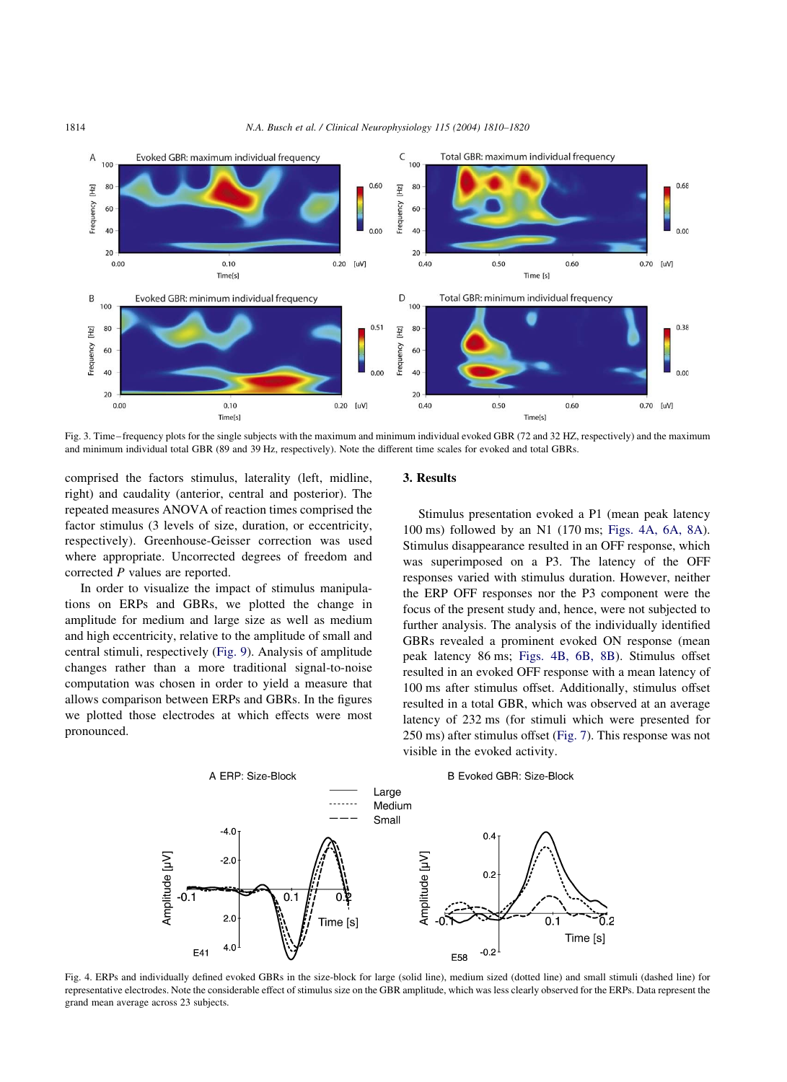

Fig. 3. Time–frequency plots for the single subjects with the maximum and minimum individual evoked GBR (72 and 32 HZ, respectively) and the maximum and minimum individual total GBR (89 and 39 Hz, respectively). Note the different time scales for evoked and total GBRs.

comprised the factors stimulus, laterality (left, midline, right) and caudality (anterior, central and posterior). The repeated measures ANOVA of reaction times comprised the factor stimulus (3 levels of size, duration, or eccentricity, respectively). Greenhouse-Geisser correction was used where appropriate. Uncorrected degrees of freedom and corrected P values are reported.

In order to visualize the impact of stimulus manipulations on ERPs and GBRs, we plotted the change in amplitude for medium and large size as well as medium and high eccentricity, relative to the amplitude of small and central stimuli, respectively ([Fig. 9](#page-7-0)). Analysis of amplitude changes rather than a more traditional signal-to-noise computation was chosen in order to yield a measure that allows comparison between ERPs and GBRs. In the figures we plotted those electrodes at which effects were most pronounced.

# 3. Results

Stimulus presentation evoked a P1 (mean peak latency 100 ms) followed by an N1 (170 ms; Figs. 4A, 6A, 8A). Stimulus disappearance resulted in an OFF response, which was superimposed on a P3. The latency of the OFF responses varied with stimulus duration. However, neither the ERP OFF responses nor the P3 component were the focus of the present study and, hence, were not subjected to further analysis. The analysis of the individually identified GBRs revealed a prominent evoked ON response (mean peak latency 86 ms; Figs. 4B, 6B, 8B). Stimulus offset resulted in an evoked OFF response with a mean latency of 100 ms after stimulus offset. Additionally, stimulus offset resulted in a total GBR, which was observed at an average latency of 232 ms (for stimuli which were presented for 250 ms) after stimulus offset [\(Fig. 7\)](#page-6-0). This response was not visible in the evoked activity.



Fig. 4. ERPs and individually defined evoked GBRs in the size-block for large (solid line), medium sized (dotted line) and small stimuli (dashed line) for representative electrodes. Note the considerable effect of stimulus size on the GBR amplitude, which was less clearly observed for the ERPs. Data represent the grand mean average across 23 subjects.

<span id="page-4-0"></span>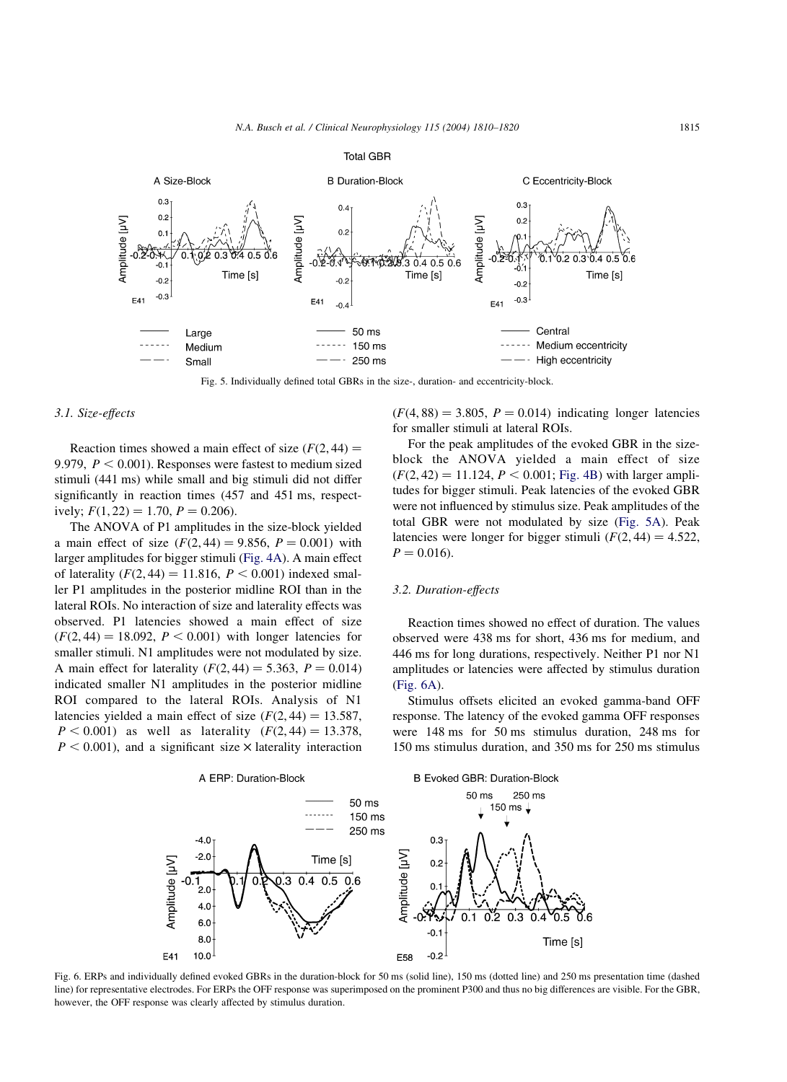**Total GBR** 

#### <span id="page-5-0"></span>A Size-Block **B** Duration-Block C Eccentricity-Block  $0.3$  $0.3$  $0.4$  $0.2$ Amplitude [µV] Amplitude [µV] Amplitude [µV]  $0.2$  $0.2$  $0.1$  $0.5$ ০⊉ৠ্থ  $\overline{2}$  $\Omega$ 4 0.5 ¥ฬ<del>ฬ</del>W  $30.40.50.6$  $-0.1$ -01 Time [s] Time [s] Time [s]  $-0.2$  $-0.2$  $-0.2$  $-0.3$  $F41$  $-0.3$ E41 E41  $-0.4$ 50 ms Central Large 150 ms Medium eccentricity Medium 250 ms High eccentricity Small

Fig. 5. Individually defined total GBRs in the size-, duration- and eccentricity-block.

# 3.1. Size-effects

Reaction times showed a main effect of size  $(F(2, 44) =$ 9.979,  $P < 0.001$ ). Responses were fastest to medium sized stimuli (441 ms) while small and big stimuli did not differ significantly in reaction times (457 and 451 ms, respectively;  $F(1, 22) = 1.70$ ,  $P = 0.206$ ).

The ANOVA of P1 amplitudes in the size-block yielded a main effect of size  $(F(2, 44) = 9.856, P = 0.001)$  with larger amplitudes for bigger stimuli [\(Fig. 4A\)](#page-4-0). A main effect of laterality  $(F(2, 44) = 11.816, P < 0.001)$  indexed smaller P1 amplitudes in the posterior midline ROI than in the lateral ROIs. No interaction of size and laterality effects was observed. P1 latencies showed a main effect of size  $(F(2, 44) = 18.092, P < 0.001)$  with longer latencies for smaller stimuli. N1 amplitudes were not modulated by size. A main effect for laterality  $(F(2, 44) = 5.363, P = 0.014)$ indicated smaller N1 amplitudes in the posterior midline ROI compared to the lateral ROIs. Analysis of N1 latencies yielded a main effect of size  $(F(2, 44) = 13.587,$  $P < 0.001$ ) as well as laterality  $(F(2, 44) = 13.378,$  $P < 0.001$ ), and a significant size  $\times$  laterality interaction

#### A ERP: Duration-Block

 $(F(4, 88) = 3.805, P = 0.014)$  indicating longer latencies for smaller stimuli at lateral ROIs.

For the peak amplitudes of the evoked GBR in the sizeblock the ANOVA yielded a main effect of size  $(F(2, 42) = 11.124, P < 0.001$ ; [Fig. 4B\)](#page-4-0) with larger amplitudes for bigger stimuli. Peak latencies of the evoked GBR were not influenced by stimulus size. Peak amplitudes of the total GBR were not modulated by size (Fig. 5A). Peak latencies were longer for bigger stimuli  $(F(2, 44) = 4.522,$  $P = 0.016$ .

### 3.2. Duration-effects

Reaction times showed no effect of duration. The values observed were 438 ms for short, 436 ms for medium, and 446 ms for long durations, respectively. Neither P1 nor N1 amplitudes or latencies were affected by stimulus duration (Fig. 6A).

Stimulus offsets elicited an evoked gamma-band OFF response. The latency of the evoked gamma OFF responses were 148 ms for 50 ms stimulus duration, 248 ms for 150 ms stimulus duration, and 350 ms for 250 ms stimulus



Fig. 6. ERPs and individually defined evoked GBRs in the duration-block for 50 ms (solid line), 150 ms (dotted line) and 250 ms presentation time (dashed line) for representative electrodes. For ERPs the OFF response was superimposed on the prominent P300 and thus no big differences are visible. For the GBR, however, the OFF response was clearly affected by stimulus duration.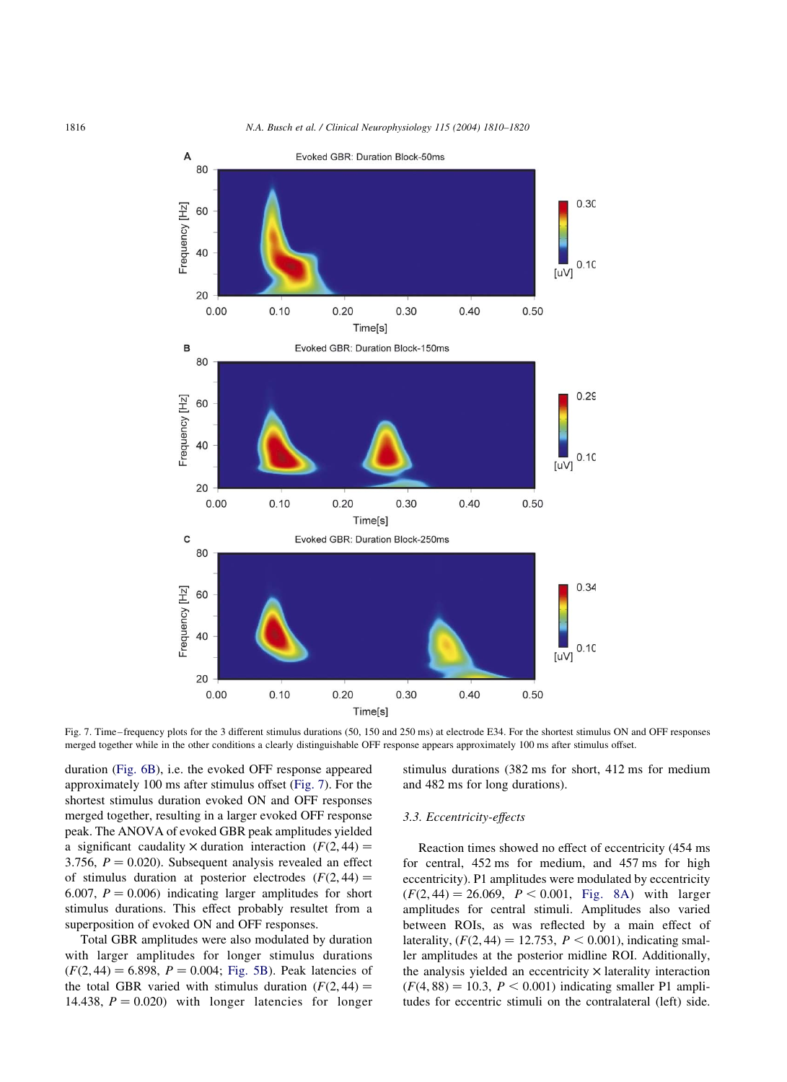

Fig. 7. Time–frequency plots for the 3 different stimulus durations (50, 150 and 250 ms) at electrode E34. For the shortest stimulus ON and OFF responses merged together while in the other conditions a clearly distinguishable OFF response appears approximately 100 ms after stimulus offset.

duration ([Fig. 6B](#page-5-0)), i.e. the evoked OFF response appeared approximately 100 ms after stimulus offset (Fig. 7). For the shortest stimulus duration evoked ON and OFF responses merged together, resulting in a larger evoked OFF response peak. The ANOVA of evoked GBR peak amplitudes yielded a significant caudality  $\times$  duration interaction  $(F(2, 44) =$ 3.756,  $P = 0.020$ ). Subsequent analysis revealed an effect of stimulus duration at posterior electrodes  $(F(2, 44) =$ 6.007,  $P = 0.006$  indicating larger amplitudes for short stimulus durations. This effect probably resultet from a superposition of evoked ON and OFF responses.

Total GBR amplitudes were also modulated by duration with larger amplitudes for longer stimulus durations  $(F(2, 44) = 6.898, P = 0.004;$  [Fig. 5B\)](#page-5-0). Peak latencies of the total GBR varied with stimulus duration  $(F(2, 44) =$ 14.438,  $P = 0.020$  with longer latencies for longer

stimulus durations (382 ms for short, 412 ms for medium and 482 ms for long durations).

#### 3.3. Eccentricity-effects

Reaction times showed no effect of eccentricity (454 ms for central, 452 ms for medium, and 457 ms for high eccentricity). P1 amplitudes were modulated by eccentricity  $(F(2, 44) = 26.069, P < 0.001, Fig. 8A)$  $(F(2, 44) = 26.069, P < 0.001, Fig. 8A)$  $(F(2, 44) = 26.069, P < 0.001, Fig. 8A)$  with larger amplitudes for central stimuli. Amplitudes also varied between ROIs, as was reflected by a main effect of laterality,  $(F(2, 44) = 12.753, P < 0.001)$ , indicating smaller amplitudes at the posterior midline ROI. Additionally, the analysis yielded an eccentricity  $\times$  laterality interaction  $(F(4, 88) = 10.3, P < 0.001)$  indicating smaller P1 amplitudes for eccentric stimuli on the contralateral (left) side.

<span id="page-6-0"></span>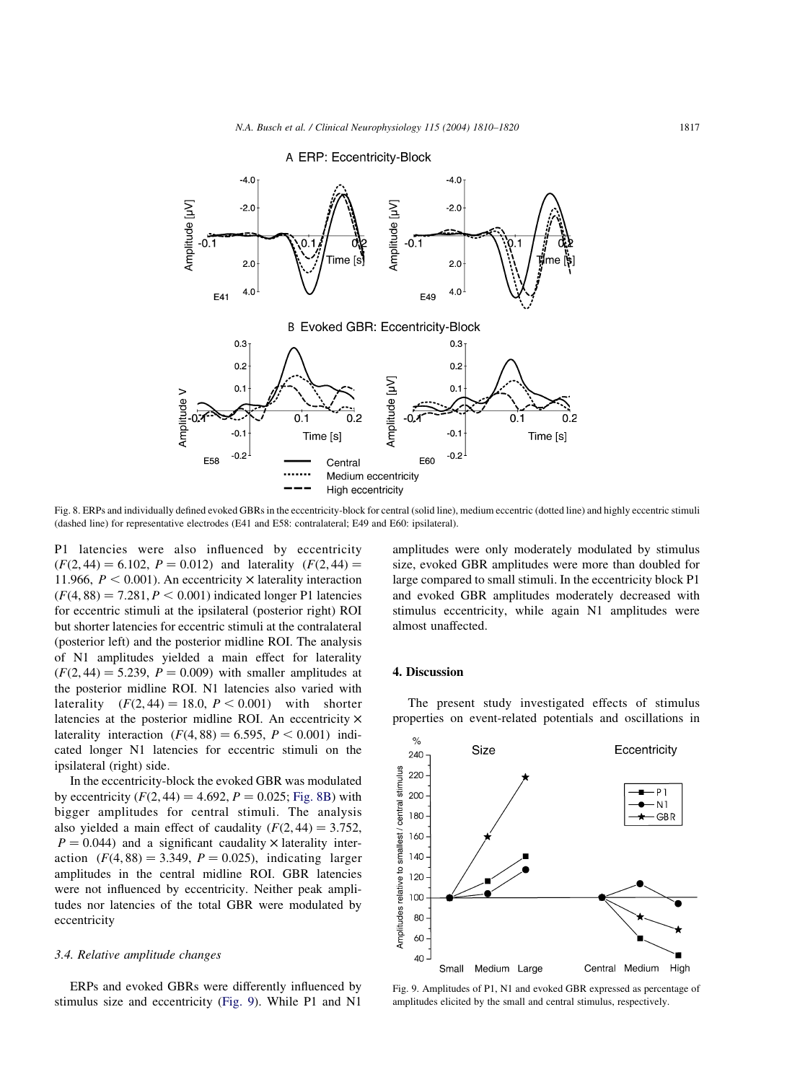### A ERP: Eccentricity-Block

<span id="page-7-0"></span>

Fig. 8. ERPs and individually defined evoked GBRs in the eccentricity-block for central (solid line), medium eccentric (dotted line) and highly eccentric stimuli (dashed line) for representative electrodes (E41 and E58: contralateral; E49 and E60: ipsilateral).

P1 latencies were also influenced by eccentricity  $(F(2, 44) = 6.102, P = 0.012)$  and laterality  $(F(2, 44)) =$ 11.966,  $P < 0.001$ ). An eccentricity  $\times$  laterality interaction  $(F(4, 88) = 7.281, P < 0.001)$  indicated longer P1 latencies for eccentric stimuli at the ipsilateral (posterior right) ROI but shorter latencies for eccentric stimuli at the contralateral (posterior left) and the posterior midline ROI. The analysis of N1 amplitudes yielded a main effect for laterality  $(F(2, 44) = 5.239, P = 0.009)$  with smaller amplitudes at the posterior midline ROI. N1 latencies also varied with laterality  $(F(2, 44) = 18.0, P < 0.001)$  with shorter latencies at the posterior midline ROI. An eccentricity  $\times$ laterality interaction  $(F(4, 88) = 6.595, P < 0.001)$  indicated longer N1 latencies for eccentric stimuli on the ipsilateral (right) side.

In the eccentricity-block the evoked GBR was modulated by eccentricity  $(F(2, 44) = 4.692, P = 0.025;$  Fig. 8B) with bigger amplitudes for central stimuli. The analysis also yielded a main effect of caudality  $(F(2, 44) = 3.752)$ ;  $P = 0.044$ ) and a significant caudality  $\times$  laterality interaction  $(F(4, 88) = 3.349, P = 0.025)$ , indicating larger amplitudes in the central midline ROI. GBR latencies were not influenced by eccentricity. Neither peak amplitudes nor latencies of the total GBR were modulated by eccentricity

# 3.4. Relative amplitude changes

ERPs and evoked GBRs were differently influenced by stimulus size and eccentricity (Fig. 9). While P1 and N1

amplitudes were only moderately modulated by stimulus size, evoked GBR amplitudes were more than doubled for large compared to small stimuli. In the eccentricity block P1 and evoked GBR amplitudes moderately decreased with stimulus eccentricity, while again N1 amplitudes were almost unaffected.

#### 4. Discussion

The present study investigated effects of stimulus properties on event-related potentials and oscillations in



Fig. 9. Amplitudes of P1, N1 and evoked GBR expressed as percentage of amplitudes elicited by the small and central stimulus, respectively.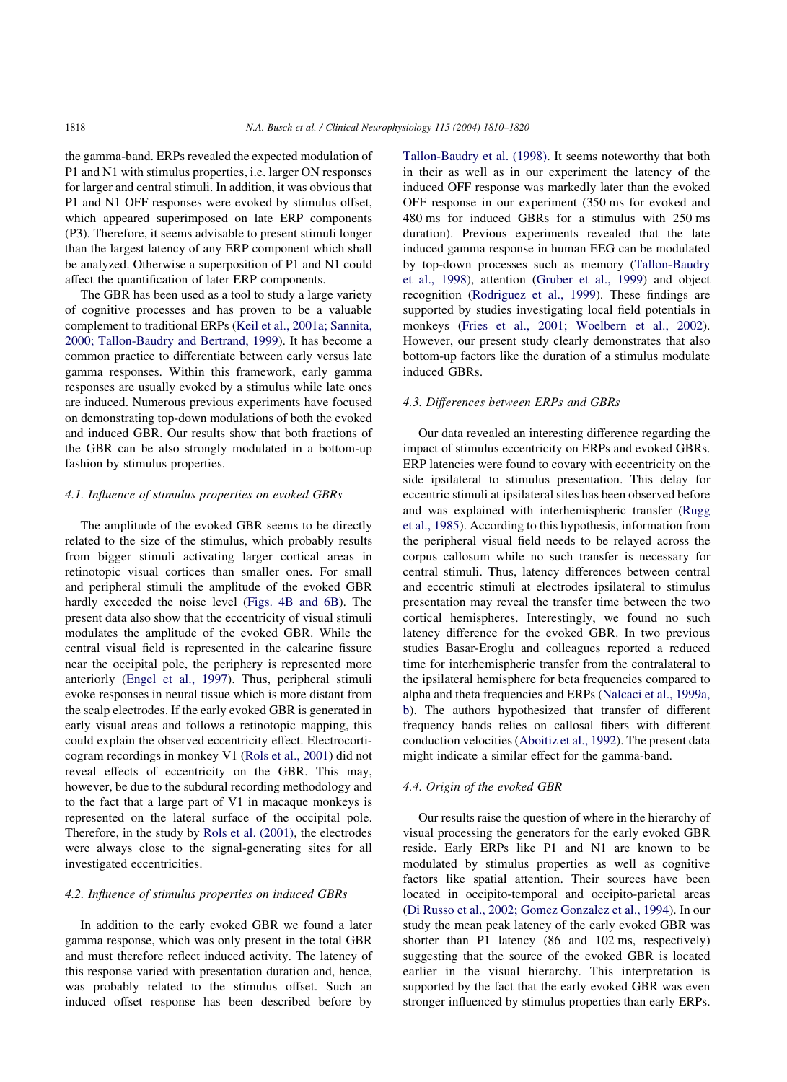the gamma-band. ERPs revealed the expected modulation of P1 and N1 with stimulus properties, i.e. larger ON responses for larger and central stimuli. In addition, it was obvious that P1 and N1 OFF responses were evoked by stimulus offset, which appeared superimposed on late ERP components (P3). Therefore, it seems advisable to present stimuli longer than the largest latency of any ERP component which shall be analyzed. Otherwise a superposition of P1 and N1 could affect the quantification of later ERP components.

The GBR has been used as a tool to study a large variety of cognitive processes and has proven to be a valuable complement to traditional ERPs ([Keil et al., 2001a; Sannita,](#page-10-0) [2000; Tallon-Baudry and Bertrand, 1999\)](#page-10-0). It has become a common practice to differentiate between early versus late gamma responses. Within this framework, early gamma responses are usually evoked by a stimulus while late ones are induced. Numerous previous experiments have focused on demonstrating top-down modulations of both the evoked and induced GBR. Our results show that both fractions of the GBR can be also strongly modulated in a bottom-up fashion by stimulus properties.

### 4.1. Influence of stimulus properties on evoked GBRs

The amplitude of the evoked GBR seems to be directly related to the size of the stimulus, which probably results from bigger stimuli activating larger cortical areas in retinotopic visual cortices than smaller ones. For small and peripheral stimuli the amplitude of the evoked GBR hardly exceeded the noise level ([Figs. 4B and 6B\)](#page-4-0). The present data also show that the eccentricity of visual stimuli modulates the amplitude of the evoked GBR. While the central visual field is represented in the calcarine fissure near the occipital pole, the periphery is represented more anteriorly [\(Engel et al., 1997](#page-10-0)). Thus, peripheral stimuli evoke responses in neural tissue which is more distant from the scalp electrodes. If the early evoked GBR is generated in early visual areas and follows a retinotopic mapping, this could explain the observed eccentricity effect. Electrocorticogram recordings in monkey V1 ([Rols et al., 2001\)](#page-10-0) did not reveal effects of eccentricity on the GBR. This may, however, be due to the subdural recording methodology and to the fact that a large part of V1 in macaque monkeys is represented on the lateral surface of the occipital pole. Therefore, in the study by [Rols et al. \(2001\),](#page-10-0) the electrodes were always close to the signal-generating sites for all investigated eccentricities.

# 4.2. Influence of stimulus properties on induced GBRs

In addition to the early evoked GBR we found a later gamma response, which was only present in the total GBR and must therefore reflect induced activity. The latency of this response varied with presentation duration and, hence, was probably related to the stimulus offset. Such an induced offset response has been described before by [Tallon-Baudry et al. \(1998\).](#page-10-0) It seems noteworthy that both in their as well as in our experiment the latency of the induced OFF response was markedly later than the evoked OFF response in our experiment (350 ms for evoked and 480 ms for induced GBRs for a stimulus with 250 ms duration). Previous experiments revealed that the late induced gamma response in human EEG can be modulated by top-down processes such as memory ([Tallon-Baudry](#page-10-0) [et al., 1998](#page-10-0)), attention ([Gruber et al., 1999](#page-10-0)) and object recognition ([Rodriguez et al., 1999\)](#page-10-0). These findings are supported by studies investigating local field potentials in monkeys ([Fries et al., 2001; Woelbern et al., 2002\)](#page-10-0). However, our present study clearly demonstrates that also bottom-up factors like the duration of a stimulus modulate induced GBRs.

# 4.3. Differences between ERPs and GBRs

Our data revealed an interesting difference regarding the impact of stimulus eccentricity on ERPs and evoked GBRs. ERP latencies were found to covary with eccentricity on the side ipsilateral to stimulus presentation. This delay for eccentric stimuli at ipsilateral sites has been observed before and was explained with interhemispheric transfer [\(Rugg](#page-10-0) [et al., 1985\)](#page-10-0). According to this hypothesis, information from the peripheral visual field needs to be relayed across the corpus callosum while no such transfer is necessary for central stimuli. Thus, latency differences between central and eccentric stimuli at electrodes ipsilateral to stimulus presentation may reveal the transfer time between the two cortical hemispheres. Interestingly, we found no such latency difference for the evoked GBR. In two previous studies Basar-Eroglu and colleagues reported a reduced time for interhemispheric transfer from the contralateral to the ipsilateral hemisphere for beta frequencies compared to alpha and theta frequencies and ERPs ([Nalcaci et al., 1999a,](#page-10-0) [b\)](#page-10-0). The authors hypothesized that transfer of different frequency bands relies on callosal fibers with different conduction velocities ([Aboitiz et al., 1992\)](#page-9-0). The present data might indicate a similar effect for the gamma-band.

# 4.4. Origin of the evoked GBR

Our results raise the question of where in the hierarchy of visual processing the generators for the early evoked GBR reside. Early ERPs like P1 and N1 are known to be modulated by stimulus properties as well as cognitive factors like spatial attention. Their sources have been located in occipito-temporal and occipito-parietal areas ([Di Russo et al., 2002; Gomez Gonzalez et al., 1994\)](#page-10-0). In our study the mean peak latency of the early evoked GBR was shorter than P1 latency (86 and 102 ms, respectively) suggesting that the source of the evoked GBR is located earlier in the visual hierarchy. This interpretation is supported by the fact that the early evoked GBR was even stronger influenced by stimulus properties than early ERPs.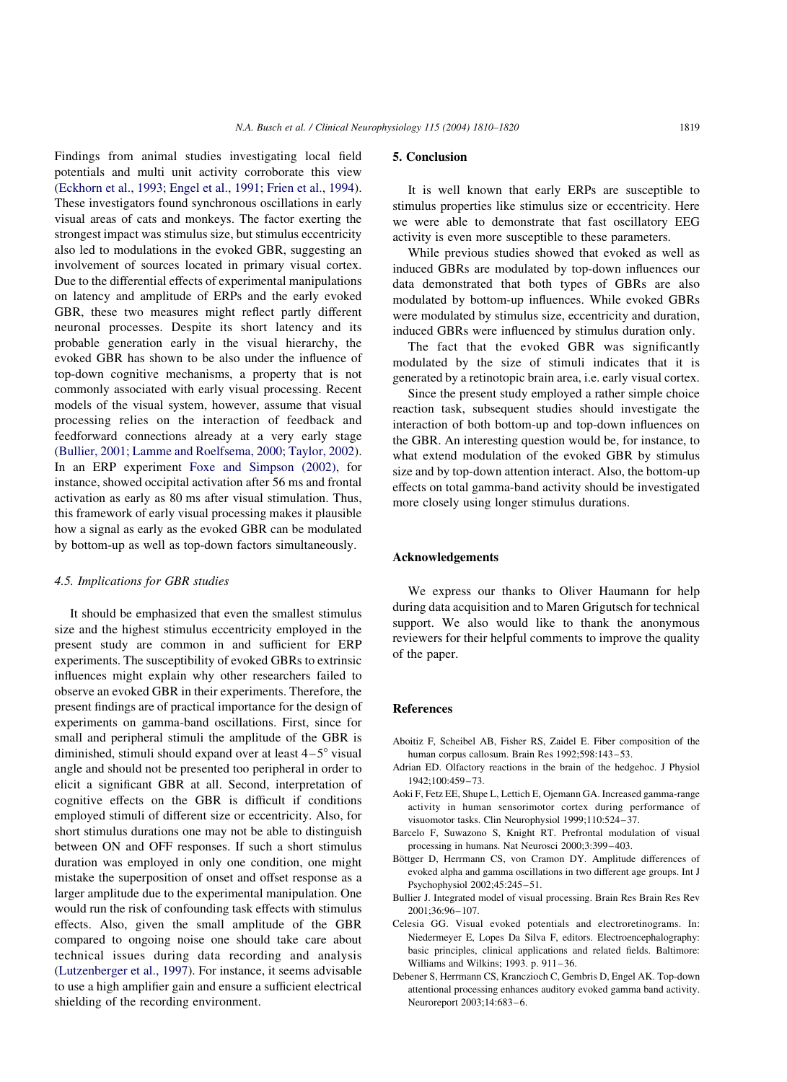<span id="page-9-0"></span>Findings from animal studies investigating local field potentials and multi unit activity corroborate this view ([Eckhorn et al., 1993; Engel et al., 1991; Frien et al., 1994\)](#page-10-0). These investigators found synchronous oscillations in early visual areas of cats and monkeys. The factor exerting the strongest impact was stimulus size, but stimulus eccentricity also led to modulations in the evoked GBR, suggesting an involvement of sources located in primary visual cortex. Due to the differential effects of experimental manipulations on latency and amplitude of ERPs and the early evoked GBR, these two measures might reflect partly different neuronal processes. Despite its short latency and its probable generation early in the visual hierarchy, the evoked GBR has shown to be also under the influence of top-down cognitive mechanisms, a property that is not commonly associated with early visual processing. Recent models of the visual system, however, assume that visual processing relies on the interaction of feedback and feedforward connections already at a very early stage (Bullier, 2001; Lamme and Roelfsema, 2000; Taylor, 2002). In an ERP experiment [Foxe and Simpson \(2002\),](#page-10-0) for instance, showed occipital activation after 56 ms and frontal activation as early as 80 ms after visual stimulation. Thus, this framework of early visual processing makes it plausible how a signal as early as the evoked GBR can be modulated by bottom-up as well as top-down factors simultaneously.

#### 4.5. Implications for GBR studies

It should be emphasized that even the smallest stimulus size and the highest stimulus eccentricity employed in the present study are common in and sufficient for ERP experiments. The susceptibility of evoked GBRs to extrinsic influences might explain why other researchers failed to observe an evoked GBR in their experiments. Therefore, the present findings are of practical importance for the design of experiments on gamma-band oscillations. First, since for small and peripheral stimuli the amplitude of the GBR is diminished, stimuli should expand over at least  $4-5^{\circ}$  visual angle and should not be presented too peripheral in order to elicit a significant GBR at all. Second, interpretation of cognitive effects on the GBR is difficult if conditions employed stimuli of different size or eccentricity. Also, for short stimulus durations one may not be able to distinguish between ON and OFF responses. If such a short stimulus duration was employed in only one condition, one might mistake the superposition of onset and offset response as a larger amplitude due to the experimental manipulation. One would run the risk of confounding task effects with stimulus effects. Also, given the small amplitude of the GBR compared to ongoing noise one should take care about technical issues during data recording and analysis ([Lutzenberger et al., 1997](#page-10-0)). For instance, it seems advisable to use a high amplifier gain and ensure a sufficient electrical shielding of the recording environment.

# 5. Conclusion

It is well known that early ERPs are susceptible to stimulus properties like stimulus size or eccentricity. Here we were able to demonstrate that fast oscillatory EEG activity is even more susceptible to these parameters.

While previous studies showed that evoked as well as induced GBRs are modulated by top-down influences our data demonstrated that both types of GBRs are also modulated by bottom-up influences. While evoked GBRs were modulated by stimulus size, eccentricity and duration, induced GBRs were influenced by stimulus duration only.

The fact that the evoked GBR was significantly modulated by the size of stimuli indicates that it is generated by a retinotopic brain area, i.e. early visual cortex.

Since the present study employed a rather simple choice reaction task, subsequent studies should investigate the interaction of both bottom-up and top-down influences on the GBR. An interesting question would be, for instance, to what extend modulation of the evoked GBR by stimulus size and by top-down attention interact. Also, the bottom-up effects on total gamma-band activity should be investigated more closely using longer stimulus durations.

# Acknowledgements

We express our thanks to Oliver Haumann for help during data acquisition and to Maren Grigutsch for technical support. We also would like to thank the anonymous reviewers for their helpful comments to improve the quality of the paper.

#### References

- Aboitiz F, Scheibel AB, Fisher RS, Zaidel E. Fiber composition of the human corpus callosum. Brain Res 1992;598:143–53.
- Adrian ED. Olfactory reactions in the brain of the hedgehoc. J Physiol 1942;100:459–73.
- Aoki F, Fetz EE, Shupe L, Lettich E, Ojemann GA. Increased gamma-range activity in human sensorimotor cortex during performance of visuomotor tasks. Clin Neurophysiol 1999;110:524–37.
- Barcelo F, Suwazono S, Knight RT. Prefrontal modulation of visual processing in humans. Nat Neurosci 2000;3:399–403.
- Böttger D, Herrmann CS, von Cramon DY. Amplitude differences of evoked alpha and gamma oscillations in two different age groups. Int J Psychophysiol 2002;45:245–51.
- Bullier J. Integrated model of visual processing. Brain Res Brain Res Rev 2001;36:96–107.
- Celesia GG. Visual evoked potentials and electroretinograms. In: Niedermeyer E, Lopes Da Silva F, editors. Electroencephalography: basic principles, clinical applications and related fields. Baltimore: Williams and Wilkins; 1993. p. 911–36.
- Debener S, Herrmann CS, Kranczioch C, Gembris D, Engel AK. Top-down attentional processing enhances auditory evoked gamma band activity. Neuroreport 2003;14:683–6.